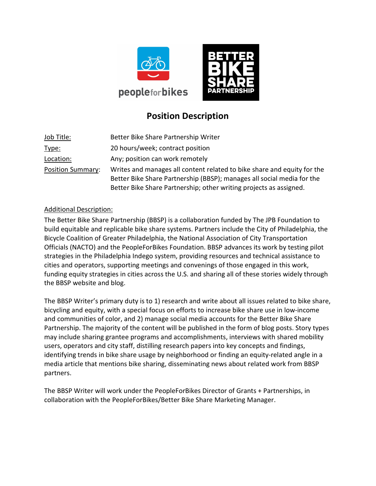



# Position Description

| Job Title:               | Better Bike Share Partnership Writer                                                                                                              |
|--------------------------|---------------------------------------------------------------------------------------------------------------------------------------------------|
| Type:                    | 20 hours/week; contract position                                                                                                                  |
| Location:                | Any; position can work remotely                                                                                                                   |
| <b>Position Summary:</b> | Writes and manages all content related to bike share and equity for the<br>Better Bike Share Partnership (BBSP); manages all social media for the |
|                          | Better Bike Share Partnership; other writing projects as assigned.                                                                                |

## Additional Description:

The Better Bike Share Partnership (BBSP) is a collaboration funded by The JPB Foundation to build equitable and replicable bike share systems. Partners include the City of Philadelphia, the Bicycle Coalition of Greater Philadelphia, the National Association of City Transportation Officials (NACTO) and the PeopleForBikes Foundation. BBSP advances its work by testing pilot strategies in the Philadelphia Indego system, providing resources and technical assistance to cities and operators, supporting meetings and convenings of those engaged in this work, funding equity strategies in cities across the U.S. and sharing all of these stories widely through the BBSP website and blog.

The BBSP Writer's primary duty is to 1) research and write about all issues related to bike share, bicycling and equity, with a special focus on efforts to increase bike share use in low-income and communities of color, and 2) manage social media accounts for the Better Bike Share Partnership. The majority of the content will be published in the form of blog posts. Story types may include sharing grantee programs and accomplishments, interviews with shared mobility users, operators and city staff, distilling research papers into key concepts and findings, identifying trends in bike share usage by neighborhood or finding an equity-related angle in a media article that mentions bike sharing, disseminating news about related work from BBSP partners.

The BBSP Writer will work under the PeopleForBikes Director of Grants + Partnerships, in collaboration with the PeopleForBikes/Better Bike Share Marketing Manager.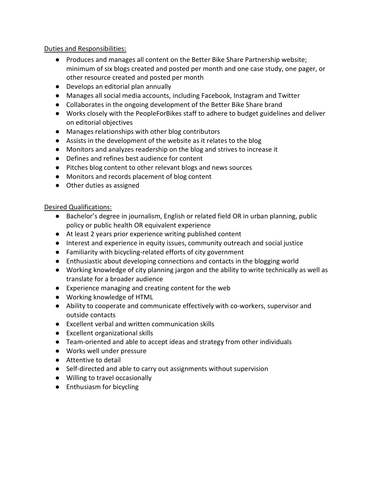## Duties and Responsibilities:

- Produces and manages all content on the Better Bike Share Partnership website; minimum of six blogs created and posted per month and one case study, one pager, or other resource created and posted per month
- Develops an editorial plan annually
- Manages all social media accounts, including Facebook, Instagram and Twitter
- Collaborates in the ongoing development of the Better Bike Share brand
- Works closely with the PeopleForBikes staff to adhere to budget guidelines and deliver on editorial objectives
- Manages relationships with other blog contributors
- Assists in the development of the website as it relates to the blog
- Monitors and analyzes readership on the blog and strives to increase it
- Defines and refines best audience for content
- Pitches blog content to other relevant blogs and news sources
- Monitors and records placement of blog content
- Other duties as assigned

## Desired Qualifications:

- Bachelor's degree in journalism, English or related field OR in urban planning, public policy or public health OR equivalent experience
- At least 2 years prior experience writing published content
- Interest and experience in equity issues, community outreach and social justice
- Familiarity with bicycling-related efforts of city government
- Enthusiastic about developing connections and contacts in the blogging world
- Working knowledge of city planning jargon and the ability to write technically as well as translate for a broader audience
- Experience managing and creating content for the web
- Working knowledge of HTML
- Ability to cooperate and communicate effectively with co-workers, supervisor and outside contacts
- Excellent verbal and written communication skills
- Excellent organizational skills
- Team-oriented and able to accept ideas and strategy from other individuals
- Works well under pressure
- Attentive to detail
- Self-directed and able to carry out assignments without supervision
- Willing to travel occasionally
- Enthusiasm for bicycling